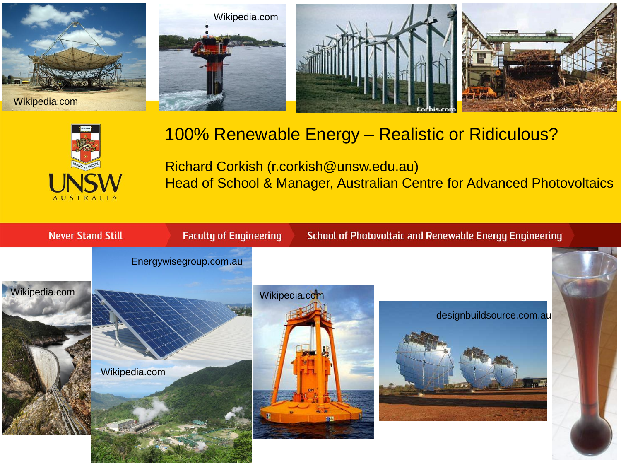







#### 100% Renewable Energy – Realistic or Ridiculous?

Richard Corkish (r.corkish@unsw.edu.au) Head of School & Manager, Australian Centre for Advanced Photovoltaics

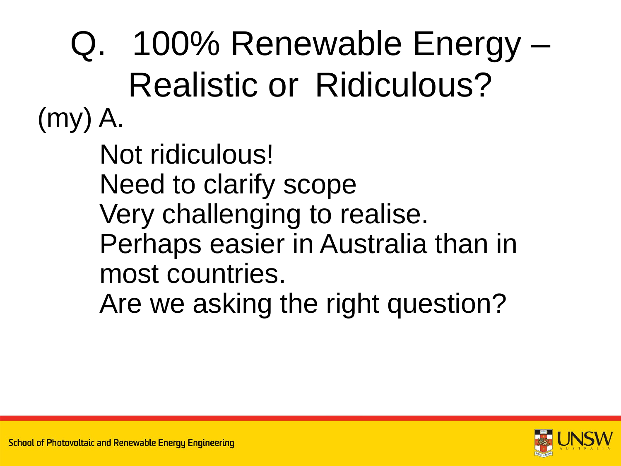(my) A. Not ridiculous! Need to clarify scope Very challenging to realise. Perhaps easier in Australia than in most countries. Are we asking the right question? Q. 100% Renewable Energy – Realistic or Ridiculous?

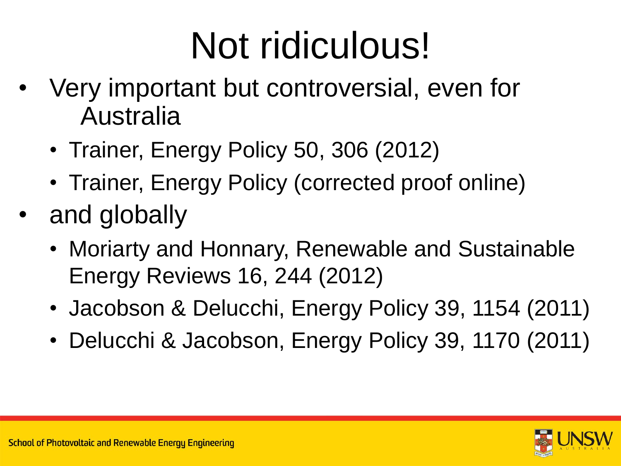### Not ridiculous!

- Very important but controversial, even for Australia
	- Trainer, Energy Policy 50, 306 (2012)
	- Trainer, Energy Policy (corrected proof online)
- and globally
	- Moriarty and Honnary, Renewable and Sustainable Energy Reviews 16, 244 (2012)
	- Jacobson & Delucchi, Energy Policy 39, 1154 (2011)
	- Delucchi & Jacobson, Energy Policy 39, 1170 (2011)

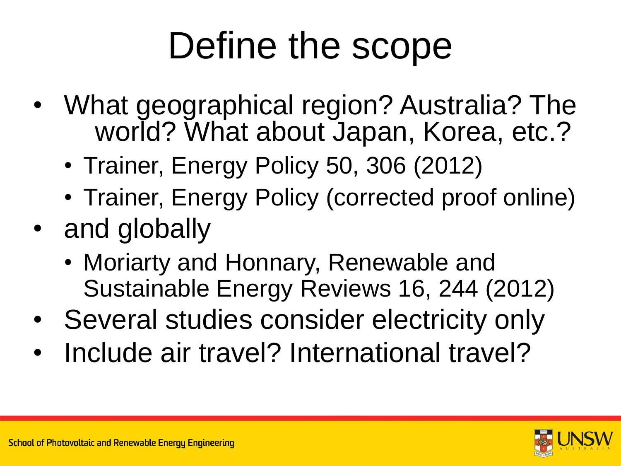#### Define the scope

- What geographical region? Australia? The world? What about Japan, Korea, etc.?
	- Trainer, Energy Policy 50, 306 (2012)
	- Trainer, Energy Policy (corrected proof online)
- and globally
	- Moriarty and Honnary, Renewable and Sustainable Energy Reviews 16, 244 (2012)
- Several studies consider electricity only
- Include air travel? International travel?

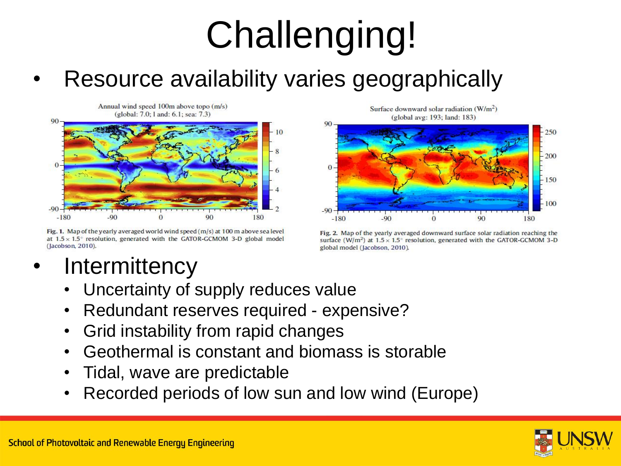#### Resource availability varies geographically

Annual wind speed 100m above topo (m/s) (global: 7.0; 1 and: 6.1; sea: 7.3)



Fig. 1. Map of the yearly averaged world wind speed  $(m/s)$  at 100 m above sea level at  $1.5 \times 1.5^{\circ}$  resolution, generated with the GATOR-GCMOM 3-D global model (Jacobson, 2010).

**Intermittency** 

Uncertainty of supply reduces value

- Redundant reserves required expensive?
- Grid instability from rapid changes
- Geothermal is constant and biomass is storable
- Tidal, wave are predictable
- Recorded periods of low sun and low wind (Europe)

Surface downward solar radiation  $(W/m^2)$ (global avg: 193; land: 183)



Fig. 2. Map of the yearly averaged downward surface solar radiation reaching the surface  $(W/m^2)$  at  $1.5 \times 1.5^\circ$  resolution, generated with the GATOR-GCMOM 3-D global model (Jacobson, 2010).

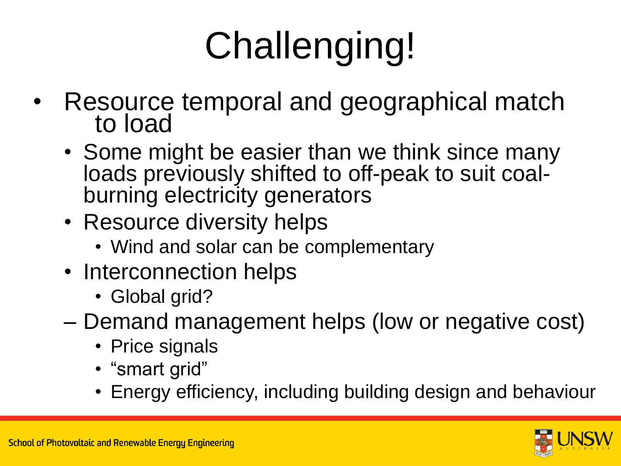- Resource temporal and geographical match to load
	- Some might be easier than we think since many loads previously shifted to off-peak to suit coalburning electricity generators
	- Resource diversity helps
		- Wind and solar can be complementary
	- Interconnection helps
		- Global grid?
	- Demand management helps (low or negative cost)
		- Price signals
		- "smart grid"
		- Energy efficiency, including building design and behaviour

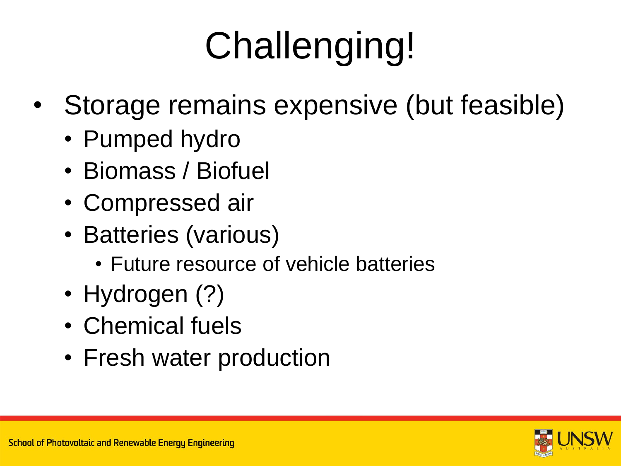- Storage remains expensive (but feasible)
	- Pumped hydro
	- Biomass / Biofuel
	- Compressed air
	- Batteries (various)
		- Future resource of vehicle batteries
	- Hydrogen (?)
	- Chemical fuels
	- Fresh water production

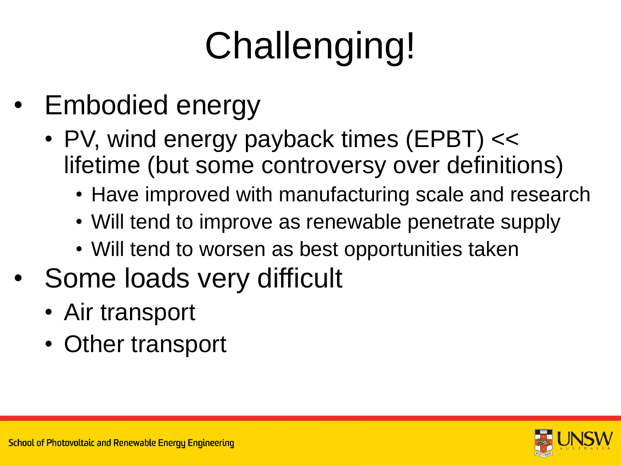- Embodied energy
	- PV, wind energy payback times (EPBT) << lifetime (but some controversy over definitions)
		- Have improved with manufacturing scale and research
		- Will tend to improve as renewable penetrate supply
		- Will tend to worsen as best opportunities taken
- Some loads very difficult
	- Air transport
	- Other transport

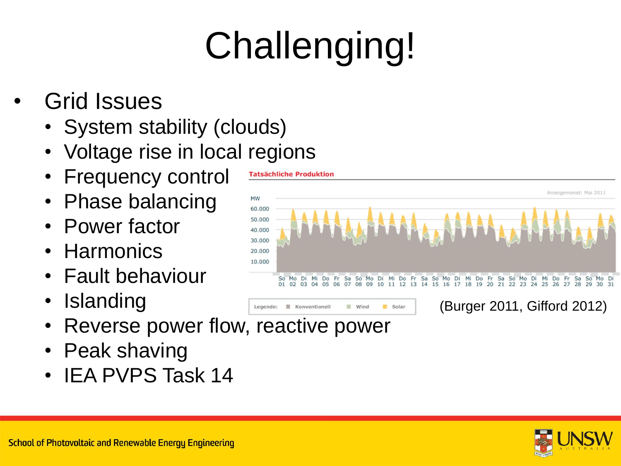- Grid Issues
	- System stability (clouds)
	- Voltage rise in local regions
	- **Frequency control**
	- Phase balancing
	- Power factor
	- Harmonics
	- Fault behaviour
	- **Islanding**
	- Reverse power flow, reactive power
	- Peak shaving
	- IEA PVPS Task 14



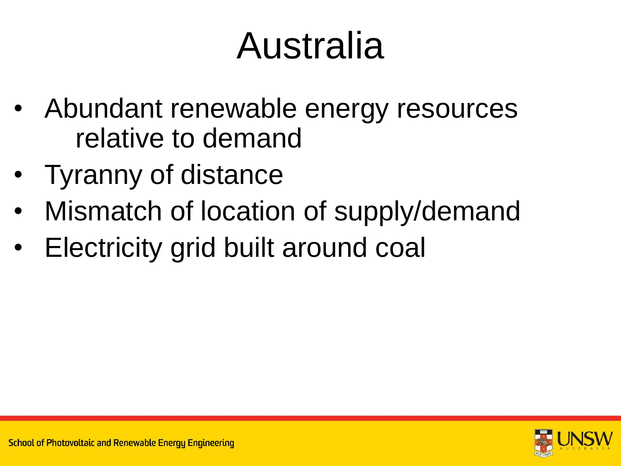### Australia

- Abundant renewable energy resources relative to demand
- Tyranny of distance
- Mismatch of location of supply/demand
- Electricity grid built around coal

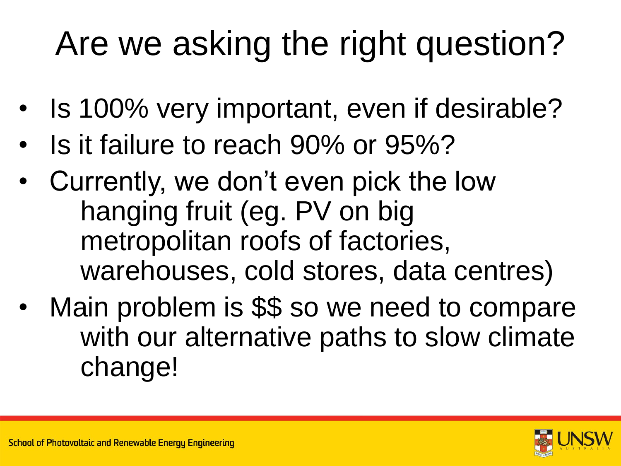#### Are we asking the right question?

- Is 100% very important, even if desirable?
- Is it failure to reach 90% or 95%?
- Currently, we don't even pick the low hanging fruit (eg. PV on big metropolitan roofs of factories, warehouses, cold stores, data centres)
- Main problem is \$\$ so we need to compare with our alternative paths to slow climate change!